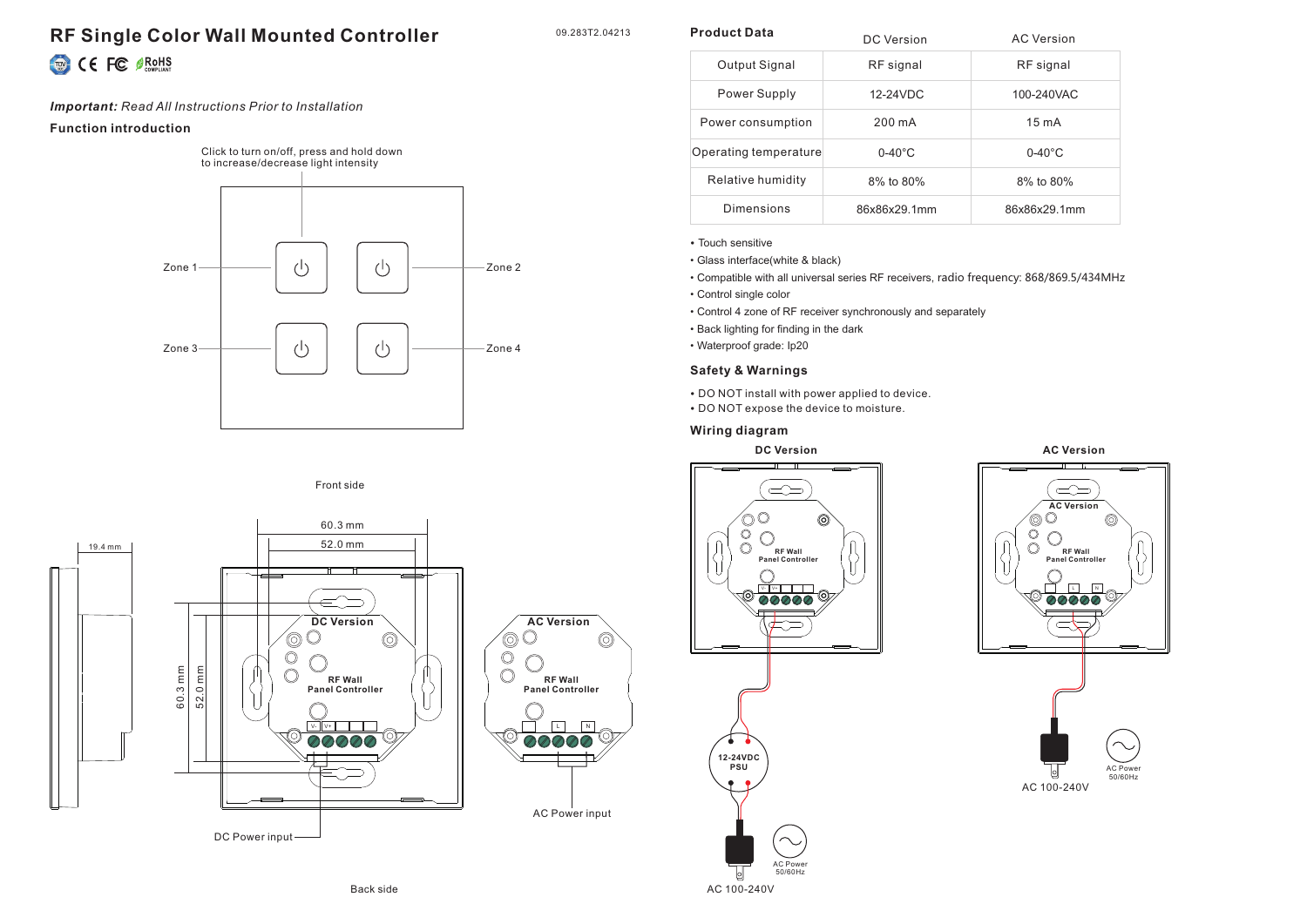# **RF Single Color Wall Mounted Controller** CE FC SROHS

09.283T2.04213

 $\circledcirc$ 

**Product Data**

*Important: Read All Instructions Prior to Installation*

#### **Function introduction**

Click to turn on/off, press and hold down to increase/decrease light intensity



# Front side



| Product Data          | DC Version       | <b>AC Version</b> |
|-----------------------|------------------|-------------------|
| Output Signal         | RF signal        | RF signal         |
| Power Supply          | 12-24VDC         | 100-240VAC        |
| Power consumption     | 200 mA           | $15 \text{ mA}$   |
| Operating temperature | $0-40^{\circ}$ C | $0-40^{\circ}$ C  |
| Relative humidity     | 8% to 80%        | 8% to 80%         |
| Dimensions            | 86x86x29.1mm     | 86x86x29.1mm      |

#### • Touch sensitive

• Glass interface(white & black)

- Compatible with all universal series RF receivers, radio frequency: 868/869.5/434MHz
- Control single color
- Control 4 zone of RF receiver synchronously and separately
- Back lighting for finding in the dark
- Waterproof grade: Ip20

## **Safety & Warnings**

- DO NOT install with power applied to device.
- DO NOT expose the device to moisture.

### **Wiring diagram**







AC Power 50/60Hz